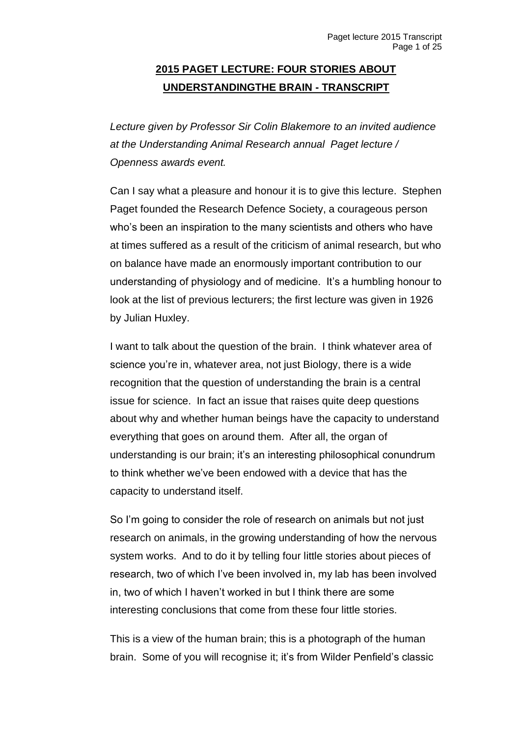## **2015 PAGET LECTURE: FOUR STORIES ABOUT UNDERSTANDINGTHE BRAIN - TRANSCRIPT**

*Lecture given by Professor Sir Colin Blakemore to an invited audience at the Understanding Animal Research annual Paget lecture / Openness awards event.*

Can I say what a pleasure and honour it is to give this lecture. Stephen Paget founded the Research Defence Society, a courageous person who's been an inspiration to the many scientists and others who have at times suffered as a result of the criticism of animal research, but who on balance have made an enormously important contribution to our understanding of physiology and of medicine. It's a humbling honour to look at the list of previous lecturers; the first lecture was given in 1926 by Julian Huxley.

I want to talk about the question of the brain. I think whatever area of science you're in, whatever area, not just Biology, there is a wide recognition that the question of understanding the brain is a central issue for science. In fact an issue that raises quite deep questions about why and whether human beings have the capacity to understand everything that goes on around them. After all, the organ of understanding is our brain; it's an interesting philosophical conundrum to think whether we've been endowed with a device that has the capacity to understand itself.

So I'm going to consider the role of research on animals but not just research on animals, in the growing understanding of how the nervous system works. And to do it by telling four little stories about pieces of research, two of which I've been involved in, my lab has been involved in, two of which I haven't worked in but I think there are some interesting conclusions that come from these four little stories.

This is a view of the human brain; this is a photograph of the human brain. Some of you will recognise it; it's from Wilder Penfield's classic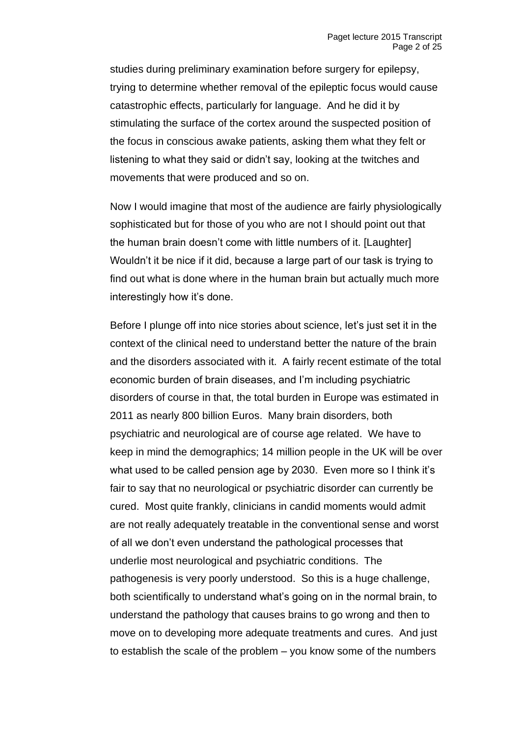studies during preliminary examination before surgery for epilepsy, trying to determine whether removal of the epileptic focus would cause catastrophic effects, particularly for language. And he did it by stimulating the surface of the cortex around the suspected position of the focus in conscious awake patients, asking them what they felt or listening to what they said or didn't say, looking at the twitches and movements that were produced and so on.

Now I would imagine that most of the audience are fairly physiologically sophisticated but for those of you who are not I should point out that the human brain doesn't come with little numbers of it. [Laughter] Wouldn't it be nice if it did, because a large part of our task is trying to find out what is done where in the human brain but actually much more interestingly how it's done.

Before I plunge off into nice stories about science, let's just set it in the context of the clinical need to understand better the nature of the brain and the disorders associated with it. A fairly recent estimate of the total economic burden of brain diseases, and I'm including psychiatric disorders of course in that, the total burden in Europe was estimated in 2011 as nearly 800 billion Euros. Many brain disorders, both psychiatric and neurological are of course age related. We have to keep in mind the demographics; 14 million people in the UK will be over what used to be called pension age by 2030. Even more so I think it's fair to say that no neurological or psychiatric disorder can currently be cured. Most quite frankly, clinicians in candid moments would admit are not really adequately treatable in the conventional sense and worst of all we don't even understand the pathological processes that underlie most neurological and psychiatric conditions. The pathogenesis is very poorly understood. So this is a huge challenge, both scientifically to understand what's going on in the normal brain, to understand the pathology that causes brains to go wrong and then to move on to developing more adequate treatments and cures. And just to establish the scale of the problem – you know some of the numbers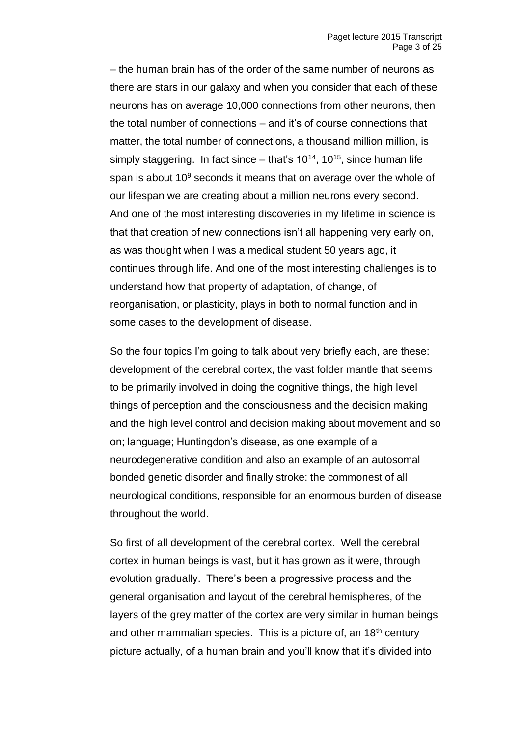– the human brain has of the order of the same number of neurons as there are stars in our galaxy and when you consider that each of these neurons has on average 10,000 connections from other neurons, then the total number of connections – and it's of course connections that matter, the total number of connections, a thousand million million, is simply staggering. In fact since  $-$  that's 10<sup>14</sup>, 10<sup>15</sup>, since human life span is about  $10<sup>9</sup>$  seconds it means that on average over the whole of our lifespan we are creating about a million neurons every second. And one of the most interesting discoveries in my lifetime in science is that that creation of new connections isn't all happening very early on, as was thought when I was a medical student 50 years ago, it continues through life. And one of the most interesting challenges is to understand how that property of adaptation, of change, of reorganisation, or plasticity, plays in both to normal function and in some cases to the development of disease.

So the four topics I'm going to talk about very briefly each, are these: development of the cerebral cortex, the vast folder mantle that seems to be primarily involved in doing the cognitive things, the high level things of perception and the consciousness and the decision making and the high level control and decision making about movement and so on; language; Huntingdon's disease, as one example of a neurodegenerative condition and also an example of an autosomal bonded genetic disorder and finally stroke: the commonest of all neurological conditions, responsible for an enormous burden of disease throughout the world.

So first of all development of the cerebral cortex. Well the cerebral cortex in human beings is vast, but it has grown as it were, through evolution gradually. There's been a progressive process and the general organisation and layout of the cerebral hemispheres, of the layers of the grey matter of the cortex are very similar in human beings and other mammalian species. This is a picture of, an 18<sup>th</sup> century picture actually, of a human brain and you'll know that it's divided into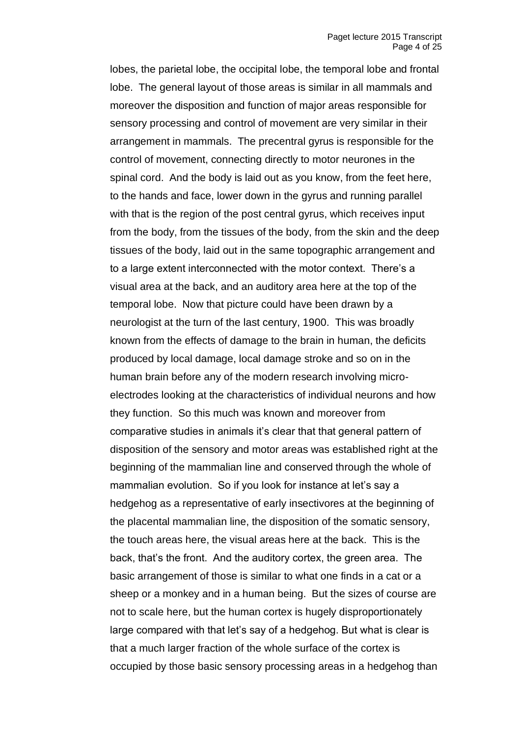lobes, the parietal lobe, the occipital lobe, the temporal lobe and frontal lobe. The general layout of those areas is similar in all mammals and moreover the disposition and function of major areas responsible for sensory processing and control of movement are very similar in their arrangement in mammals. The precentral gyrus is responsible for the control of movement, connecting directly to motor neurones in the spinal cord. And the body is laid out as you know, from the feet here, to the hands and face, lower down in the gyrus and running parallel with that is the region of the post central gyrus, which receives input from the body, from the tissues of the body, from the skin and the deep tissues of the body, laid out in the same topographic arrangement and to a large extent interconnected with the motor context. There's a visual area at the back, and an auditory area here at the top of the temporal lobe. Now that picture could have been drawn by a neurologist at the turn of the last century, 1900. This was broadly known from the effects of damage to the brain in human, the deficits produced by local damage, local damage stroke and so on in the human brain before any of the modern research involving microelectrodes looking at the characteristics of individual neurons and how they function. So this much was known and moreover from comparative studies in animals it's clear that that general pattern of disposition of the sensory and motor areas was established right at the beginning of the mammalian line and conserved through the whole of mammalian evolution. So if you look for instance at let's say a hedgehog as a representative of early insectivores at the beginning of the placental mammalian line, the disposition of the somatic sensory, the touch areas here, the visual areas here at the back. This is the back, that's the front. And the auditory cortex, the green area. The basic arrangement of those is similar to what one finds in a cat or a sheep or a monkey and in a human being. But the sizes of course are not to scale here, but the human cortex is hugely disproportionately large compared with that let's say of a hedgehog. But what is clear is that a much larger fraction of the whole surface of the cortex is occupied by those basic sensory processing areas in a hedgehog than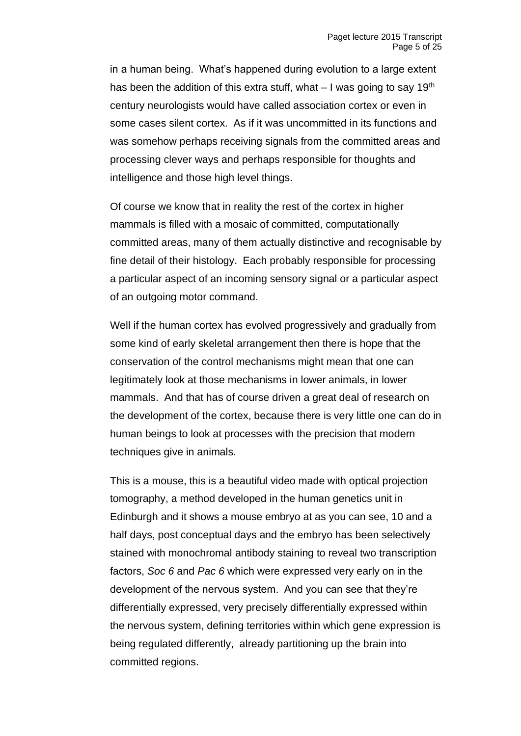in a human being. What's happened during evolution to a large extent has been the addition of this extra stuff, what  $-1$  was going to say 19<sup>th</sup> century neurologists would have called association cortex or even in some cases silent cortex. As if it was uncommitted in its functions and was somehow perhaps receiving signals from the committed areas and processing clever ways and perhaps responsible for thoughts and intelligence and those high level things.

Of course we know that in reality the rest of the cortex in higher mammals is filled with a mosaic of committed, computationally committed areas, many of them actually distinctive and recognisable by fine detail of their histology. Each probably responsible for processing a particular aspect of an incoming sensory signal or a particular aspect of an outgoing motor command.

Well if the human cortex has evolved progressively and gradually from some kind of early skeletal arrangement then there is hope that the conservation of the control mechanisms might mean that one can legitimately look at those mechanisms in lower animals, in lower mammals. And that has of course driven a great deal of research on the development of the cortex, because there is very little one can do in human beings to look at processes with the precision that modern techniques give in animals.

This is a mouse, this is a beautiful video made with optical projection tomography, a method developed in the human genetics unit in Edinburgh and it shows a mouse embryo at as you can see, 10 and a half days, post conceptual days and the embryo has been selectively stained with monochromal antibody staining to reveal two transcription factors, *Soc 6* and *Pac 6* which were expressed very early on in the development of the nervous system. And you can see that they're differentially expressed, very precisely differentially expressed within the nervous system, defining territories within which gene expression is being regulated differently, already partitioning up the brain into committed regions.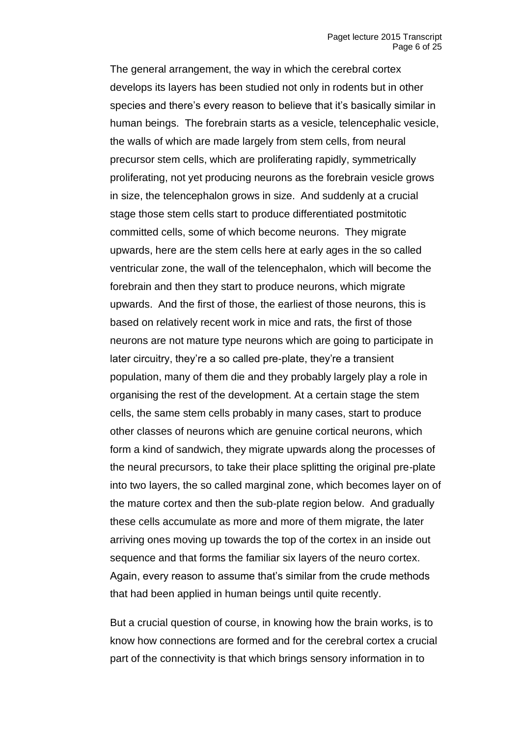The general arrangement, the way in which the cerebral cortex develops its layers has been studied not only in rodents but in other species and there's every reason to believe that it's basically similar in human beings. The forebrain starts as a vesicle, telencephalic vesicle, the walls of which are made largely from stem cells, from neural precursor stem cells, which are proliferating rapidly, symmetrically proliferating, not yet producing neurons as the forebrain vesicle grows in size, the telencephalon grows in size. And suddenly at a crucial stage those stem cells start to produce differentiated postmitotic committed cells, some of which become neurons. They migrate upwards, here are the stem cells here at early ages in the so called ventricular zone, the wall of the telencephalon, which will become the forebrain and then they start to produce neurons, which migrate upwards. And the first of those, the earliest of those neurons, this is based on relatively recent work in mice and rats, the first of those neurons are not mature type neurons which are going to participate in later circuitry, they're a so called pre-plate, they're a transient population, many of them die and they probably largely play a role in organising the rest of the development. At a certain stage the stem cells, the same stem cells probably in many cases, start to produce other classes of neurons which are genuine cortical neurons, which form a kind of sandwich, they migrate upwards along the processes of the neural precursors, to take their place splitting the original pre-plate into two layers, the so called marginal zone, which becomes layer on of the mature cortex and then the sub-plate region below. And gradually these cells accumulate as more and more of them migrate, the later arriving ones moving up towards the top of the cortex in an inside out sequence and that forms the familiar six layers of the neuro cortex. Again, every reason to assume that's similar from the crude methods that had been applied in human beings until quite recently.

But a crucial question of course, in knowing how the brain works, is to know how connections are formed and for the cerebral cortex a crucial part of the connectivity is that which brings sensory information in to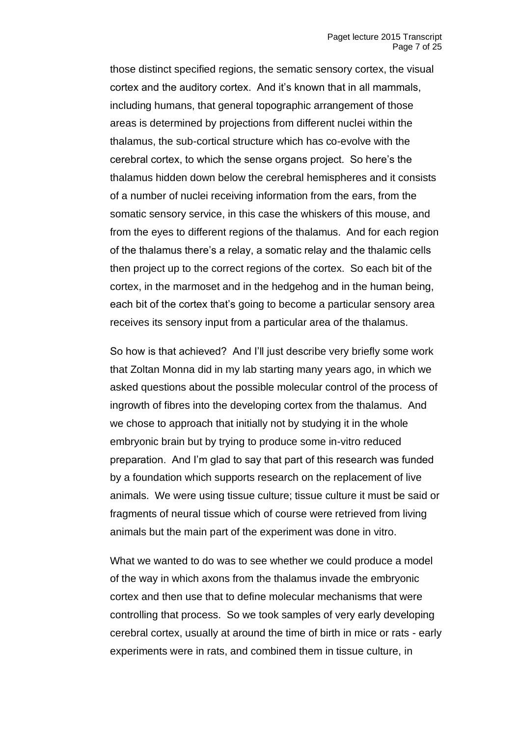those distinct specified regions, the sematic sensory cortex, the visual cortex and the auditory cortex. And it's known that in all mammals, including humans, that general topographic arrangement of those areas is determined by projections from different nuclei within the thalamus, the sub-cortical structure which has co-evolve with the cerebral cortex, to which the sense organs project. So here's the thalamus hidden down below the cerebral hemispheres and it consists of a number of nuclei receiving information from the ears, from the somatic sensory service, in this case the whiskers of this mouse, and from the eyes to different regions of the thalamus. And for each region of the thalamus there's a relay, a somatic relay and the thalamic cells then project up to the correct regions of the cortex. So each bit of the cortex, in the marmoset and in the hedgehog and in the human being, each bit of the cortex that's going to become a particular sensory area receives its sensory input from a particular area of the thalamus.

So how is that achieved? And I'll just describe very briefly some work that Zoltan Monna did in my lab starting many years ago, in which we asked questions about the possible molecular control of the process of ingrowth of fibres into the developing cortex from the thalamus. And we chose to approach that initially not by studying it in the whole embryonic brain but by trying to produce some in-vitro reduced preparation. And I'm glad to say that part of this research was funded by a foundation which supports research on the replacement of live animals. We were using tissue culture; tissue culture it must be said or fragments of neural tissue which of course were retrieved from living animals but the main part of the experiment was done in vitro.

What we wanted to do was to see whether we could produce a model of the way in which axons from the thalamus invade the embryonic cortex and then use that to define molecular mechanisms that were controlling that process. So we took samples of very early developing cerebral cortex, usually at around the time of birth in mice or rats - early experiments were in rats, and combined them in tissue culture, in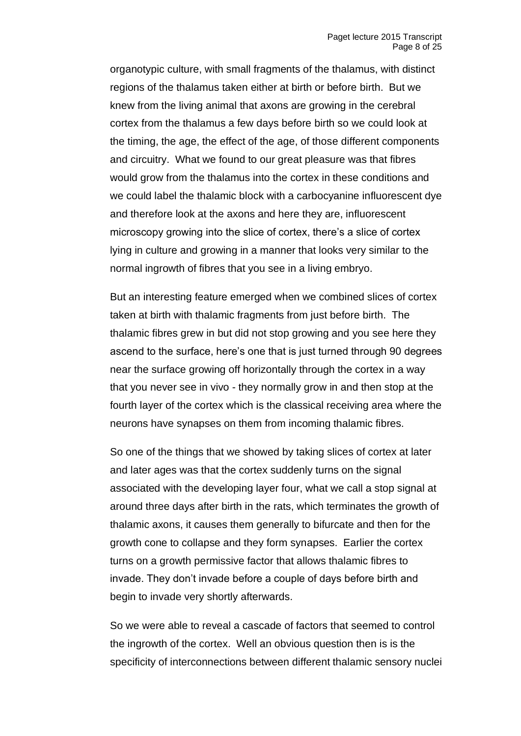organotypic culture, with small fragments of the thalamus, with distinct regions of the thalamus taken either at birth or before birth. But we knew from the living animal that axons are growing in the cerebral cortex from the thalamus a few days before birth so we could look at the timing, the age, the effect of the age, of those different components and circuitry. What we found to our great pleasure was that fibres would grow from the thalamus into the cortex in these conditions and we could label the thalamic block with a carbocyanine influorescent dye and therefore look at the axons and here they are, influorescent microscopy growing into the slice of cortex, there's a slice of cortex lying in culture and growing in a manner that looks very similar to the normal ingrowth of fibres that you see in a living embryo.

But an interesting feature emerged when we combined slices of cortex taken at birth with thalamic fragments from just before birth. The thalamic fibres grew in but did not stop growing and you see here they ascend to the surface, here's one that is just turned through 90 degrees near the surface growing off horizontally through the cortex in a way that you never see in vivo - they normally grow in and then stop at the fourth layer of the cortex which is the classical receiving area where the neurons have synapses on them from incoming thalamic fibres.

So one of the things that we showed by taking slices of cortex at later and later ages was that the cortex suddenly turns on the signal associated with the developing layer four, what we call a stop signal at around three days after birth in the rats, which terminates the growth of thalamic axons, it causes them generally to bifurcate and then for the growth cone to collapse and they form synapses. Earlier the cortex turns on a growth permissive factor that allows thalamic fibres to invade. They don't invade before a couple of days before birth and begin to invade very shortly afterwards.

So we were able to reveal a cascade of factors that seemed to control the ingrowth of the cortex. Well an obvious question then is is the specificity of interconnections between different thalamic sensory nuclei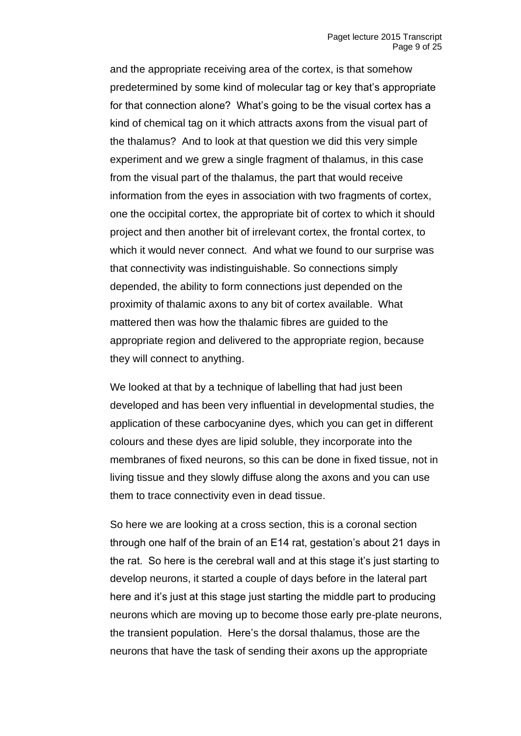and the appropriate receiving area of the cortex, is that somehow predetermined by some kind of molecular tag or key that's appropriate for that connection alone? What's going to be the visual cortex has a kind of chemical tag on it which attracts axons from the visual part of the thalamus? And to look at that question we did this very simple experiment and we grew a single fragment of thalamus, in this case from the visual part of the thalamus, the part that would receive information from the eyes in association with two fragments of cortex, one the occipital cortex, the appropriate bit of cortex to which it should project and then another bit of irrelevant cortex, the frontal cortex, to which it would never connect. And what we found to our surprise was that connectivity was indistinguishable. So connections simply depended, the ability to form connections just depended on the proximity of thalamic axons to any bit of cortex available. What mattered then was how the thalamic fibres are guided to the appropriate region and delivered to the appropriate region, because they will connect to anything.

We looked at that by a technique of labelling that had just been developed and has been very influential in developmental studies, the application of these carbocyanine dyes, which you can get in different colours and these dyes are lipid soluble, they incorporate into the membranes of fixed neurons, so this can be done in fixed tissue, not in living tissue and they slowly diffuse along the axons and you can use them to trace connectivity even in dead tissue.

So here we are looking at a cross section, this is a coronal section through one half of the brain of an E14 rat, gestation's about 21 days in the rat. So here is the cerebral wall and at this stage it's just starting to develop neurons, it started a couple of days before in the lateral part here and it's just at this stage just starting the middle part to producing neurons which are moving up to become those early pre-plate neurons, the transient population. Here's the dorsal thalamus, those are the neurons that have the task of sending their axons up the appropriate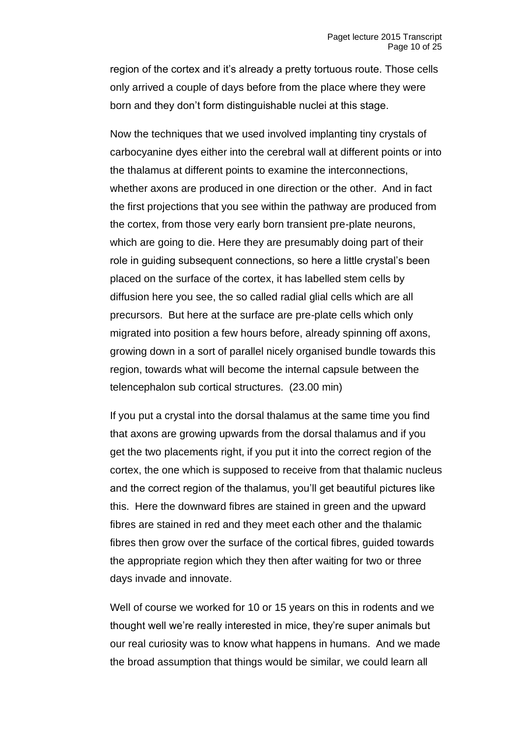region of the cortex and it's already a pretty tortuous route. Those cells only arrived a couple of days before from the place where they were born and they don't form distinguishable nuclei at this stage.

Now the techniques that we used involved implanting tiny crystals of carbocyanine dyes either into the cerebral wall at different points or into the thalamus at different points to examine the interconnections, whether axons are produced in one direction or the other. And in fact the first projections that you see within the pathway are produced from the cortex, from those very early born transient pre-plate neurons, which are going to die. Here they are presumably doing part of their role in guiding subsequent connections, so here a little crystal's been placed on the surface of the cortex, it has labelled stem cells by diffusion here you see, the so called radial glial cells which are all precursors. But here at the surface are pre-plate cells which only migrated into position a few hours before, already spinning off axons, growing down in a sort of parallel nicely organised bundle towards this region, towards what will become the internal capsule between the telencephalon sub cortical structures. (23.00 min)

If you put a crystal into the dorsal thalamus at the same time you find that axons are growing upwards from the dorsal thalamus and if you get the two placements right, if you put it into the correct region of the cortex, the one which is supposed to receive from that thalamic nucleus and the correct region of the thalamus, you'll get beautiful pictures like this. Here the downward fibres are stained in green and the upward fibres are stained in red and they meet each other and the thalamic fibres then grow over the surface of the cortical fibres, guided towards the appropriate region which they then after waiting for two or three days invade and innovate.

Well of course we worked for 10 or 15 years on this in rodents and we thought well we're really interested in mice, they're super animals but our real curiosity was to know what happens in humans. And we made the broad assumption that things would be similar, we could learn all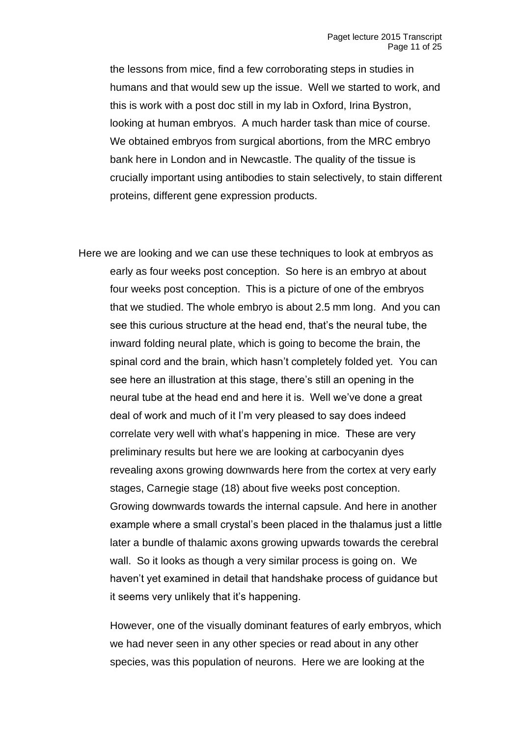the lessons from mice, find a few corroborating steps in studies in humans and that would sew up the issue. Well we started to work, and this is work with a post doc still in my lab in Oxford, Irina Bystron, looking at human embryos. A much harder task than mice of course. We obtained embryos from surgical abortions, from the MRC embryo bank here in London and in Newcastle. The quality of the tissue is crucially important using antibodies to stain selectively, to stain different proteins, different gene expression products.

Here we are looking and we can use these techniques to look at embryos as early as four weeks post conception. So here is an embryo at about four weeks post conception. This is a picture of one of the embryos that we studied. The whole embryo is about 2.5 mm long. And you can see this curious structure at the head end, that's the neural tube, the inward folding neural plate, which is going to become the brain, the spinal cord and the brain, which hasn't completely folded yet. You can see here an illustration at this stage, there's still an opening in the neural tube at the head end and here it is. Well we've done a great deal of work and much of it I'm very pleased to say does indeed correlate very well with what's happening in mice. These are very preliminary results but here we are looking at carbocyanin dyes revealing axons growing downwards here from the cortex at very early stages, Carnegie stage (18) about five weeks post conception. Growing downwards towards the internal capsule. And here in another example where a small crystal's been placed in the thalamus just a little later a bundle of thalamic axons growing upwards towards the cerebral wall. So it looks as though a very similar process is going on. We haven't yet examined in detail that handshake process of guidance but it seems very unlikely that it's happening.

However, one of the visually dominant features of early embryos, which we had never seen in any other species or read about in any other species, was this population of neurons. Here we are looking at the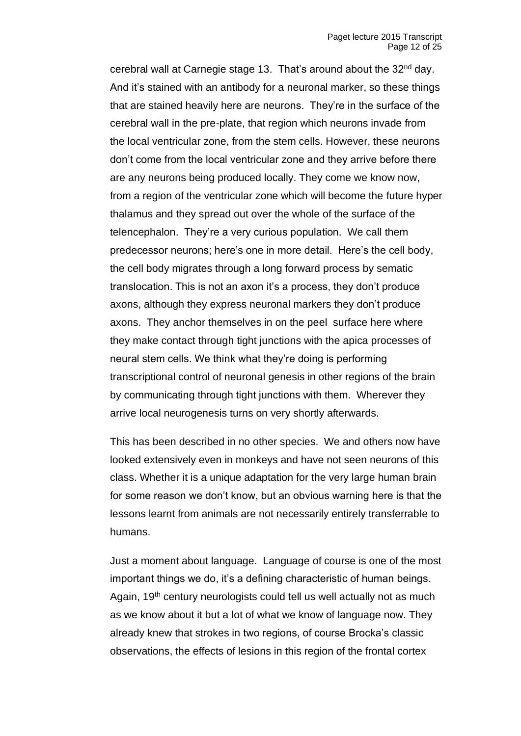cerebral wall at Carnegie stage 13. That's around about the 32<sup>nd</sup> day. And it's stained with an antibody for a neuronal marker, so these things that are stained heavily here are neurons. They're in the surface of the cerebral wall in the pre-plate, that region which neurons invade from the local ventricular zone, from the stem cells. However, these neurons don't come from the local ventricular zone and they arrive before there are any neurons being produced locally. They come we know now, from a region of the ventricular zone which will become the future hyper thalamus and they spread out over the whole of the surface of the telencephalon. They're a very curious population. We call them predecessor neurons; here's one in more detail. Here's the cell body, the cell body migrates through a long forward process by sematic translocation. This is not an axon it's a process, they don't produce axons, although they express neuronal markers they don't produce axons. They anchor themselves in on the peel surface here where they make contact through tight junctions with the apica processes of neural stem cells. We think what they're doing is performing transcriptional control of neuronal genesis in other regions of the brain by communicating through tight junctions with them. Wherever they arrive local neurogenesis turns on very shortly afterwards.

This has been described in no other species. We and others now have looked extensively even in monkeys and have not seen neurons of this class. Whether it is a unique adaptation for the very large human brain for some reason we don't know, but an obvious warning here is that the lessons learnt from animals are not necessarily entirely transferrable to humans.

Just a moment about language. Language of course is one of the most important things we do, it's a defining characteristic of human beings. Again, 19<sup>th</sup> century neurologists could tell us well actually not as much as we know about it but a lot of what we know of language now. They already knew that strokes in two regions, of course Brocka's classic observations, the effects of lesions in this region of the frontal cortex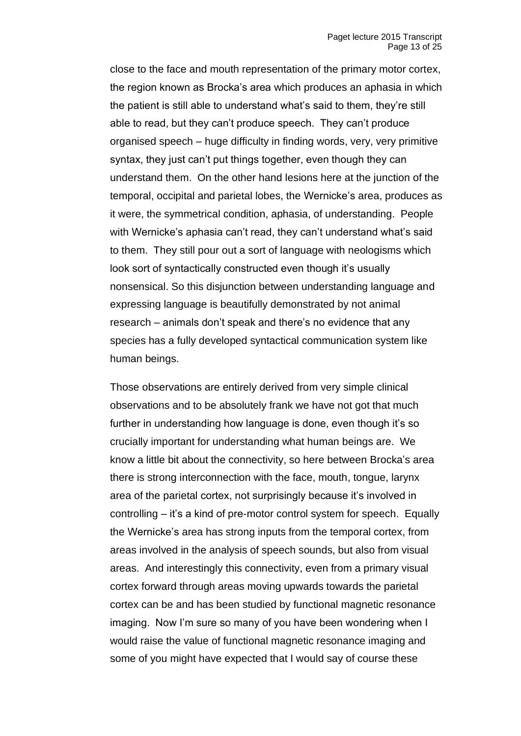close to the face and mouth representation of the primary motor cortex, the region known as Brocka's area which produces an aphasia in which the patient is still able to understand what's said to them, they're still able to read, but they can't produce speech. They can't produce organised speech – huge difficulty in finding words, very, very primitive syntax, they just can't put things together, even though they can understand them. On the other hand lesions here at the junction of the temporal, occipital and parietal lobes, the Wernicke's area, produces as it were, the symmetrical condition, aphasia, of understanding. People with Wernicke's aphasia can't read, they can't understand what's said to them. They still pour out a sort of language with neologisms which look sort of syntactically constructed even though it's usually nonsensical. So this disjunction between understanding language and expressing language is beautifully demonstrated by not animal research – animals don't speak and there's no evidence that any species has a fully developed syntactical communication system like human beings.

Those observations are entirely derived from very simple clinical observations and to be absolutely frank we have not got that much further in understanding how language is done, even though it's so crucially important for understanding what human beings are. We know a little bit about the connectivity, so here between Brocka's area there is strong interconnection with the face, mouth, tongue, larynx area of the parietal cortex, not surprisingly because it's involved in controlling – it's a kind of pre-motor control system for speech. Equally the Wernicke's area has strong inputs from the temporal cortex, from areas involved in the analysis of speech sounds, but also from visual areas. And interestingly this connectivity, even from a primary visual cortex forward through areas moving upwards towards the parietal cortex can be and has been studied by functional magnetic resonance imaging. Now I'm sure so many of you have been wondering when I would raise the value of functional magnetic resonance imaging and some of you might have expected that I would say of course these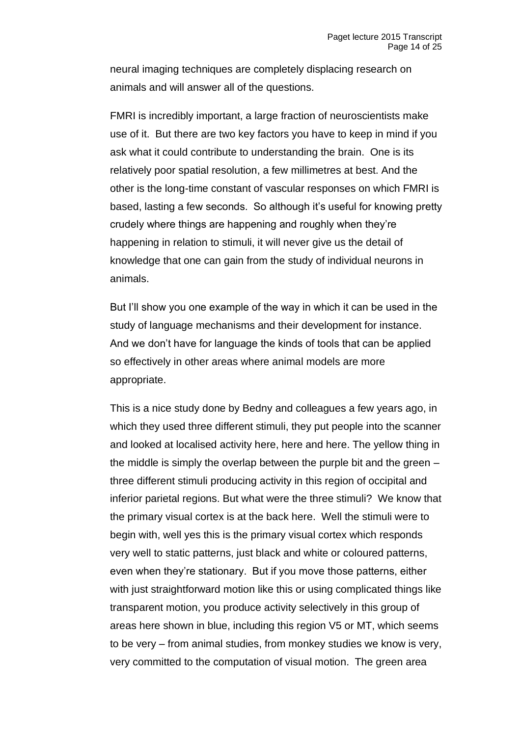neural imaging techniques are completely displacing research on animals and will answer all of the questions.

FMRI is incredibly important, a large fraction of neuroscientists make use of it. But there are two key factors you have to keep in mind if you ask what it could contribute to understanding the brain. One is its relatively poor spatial resolution, a few millimetres at best. And the other is the long-time constant of vascular responses on which FMRI is based, lasting a few seconds. So although it's useful for knowing pretty crudely where things are happening and roughly when they're happening in relation to stimuli, it will never give us the detail of knowledge that one can gain from the study of individual neurons in animals.

But I'll show you one example of the way in which it can be used in the study of language mechanisms and their development for instance. And we don't have for language the kinds of tools that can be applied so effectively in other areas where animal models are more appropriate.

This is a nice study done by Bedny and colleagues a few years ago, in which they used three different stimuli, they put people into the scanner and looked at localised activity here, here and here. The yellow thing in the middle is simply the overlap between the purple bit and the green – three different stimuli producing activity in this region of occipital and inferior parietal regions. But what were the three stimuli? We know that the primary visual cortex is at the back here. Well the stimuli were to begin with, well yes this is the primary visual cortex which responds very well to static patterns, just black and white or coloured patterns, even when they're stationary. But if you move those patterns, either with just straightforward motion like this or using complicated things like transparent motion, you produce activity selectively in this group of areas here shown in blue, including this region V5 or MT, which seems to be very – from animal studies, from monkey studies we know is very, very committed to the computation of visual motion. The green area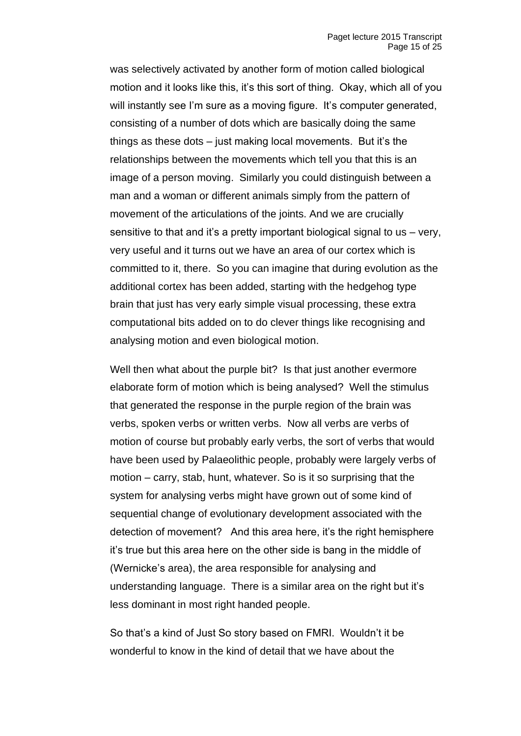was selectively activated by another form of motion called biological motion and it looks like this, it's this sort of thing. Okay, which all of you will instantly see I'm sure as a moving figure. It's computer generated, consisting of a number of dots which are basically doing the same things as these dots – just making local movements. But it's the relationships between the movements which tell you that this is an image of a person moving. Similarly you could distinguish between a man and a woman or different animals simply from the pattern of movement of the articulations of the joints. And we are crucially sensitive to that and it's a pretty important biological signal to us – very, very useful and it turns out we have an area of our cortex which is committed to it, there. So you can imagine that during evolution as the additional cortex has been added, starting with the hedgehog type brain that just has very early simple visual processing, these extra computational bits added on to do clever things like recognising and analysing motion and even biological motion.

Well then what about the purple bit? Is that just another evermore elaborate form of motion which is being analysed? Well the stimulus that generated the response in the purple region of the brain was verbs, spoken verbs or written verbs. Now all verbs are verbs of motion of course but probably early verbs, the sort of verbs that would have been used by Palaeolithic people, probably were largely verbs of motion – carry, stab, hunt, whatever. So is it so surprising that the system for analysing verbs might have grown out of some kind of sequential change of evolutionary development associated with the detection of movement? And this area here, it's the right hemisphere it's true but this area here on the other side is bang in the middle of (Wernicke's area), the area responsible for analysing and understanding language. There is a similar area on the right but it's less dominant in most right handed people.

So that's a kind of Just So story based on FMRI. Wouldn't it be wonderful to know in the kind of detail that we have about the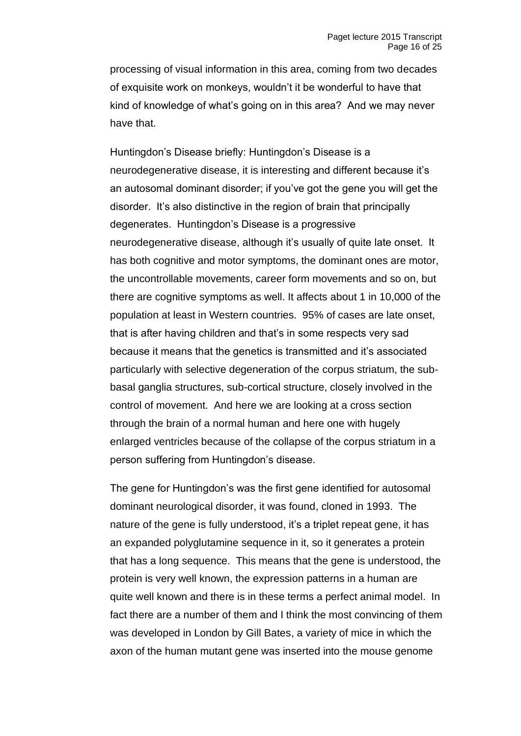processing of visual information in this area, coming from two decades of exquisite work on monkeys, wouldn't it be wonderful to have that kind of knowledge of what's going on in this area? And we may never have that.

Huntingdon's Disease briefly: Huntingdon's Disease is a neurodegenerative disease, it is interesting and different because it's an autosomal dominant disorder; if you've got the gene you will get the disorder. It's also distinctive in the region of brain that principally degenerates. Huntingdon's Disease is a progressive neurodegenerative disease, although it's usually of quite late onset. It has both cognitive and motor symptoms, the dominant ones are motor, the uncontrollable movements, career form movements and so on, but there are cognitive symptoms as well. It affects about 1 in 10,000 of the population at least in Western countries. 95% of cases are late onset, that is after having children and that's in some respects very sad because it means that the genetics is transmitted and it's associated particularly with selective degeneration of the corpus striatum, the subbasal ganglia structures, sub-cortical structure, closely involved in the control of movement. And here we are looking at a cross section through the brain of a normal human and here one with hugely enlarged ventricles because of the collapse of the corpus striatum in a person suffering from Huntingdon's disease.

The gene for Huntingdon's was the first gene identified for autosomal dominant neurological disorder, it was found, cloned in 1993. The nature of the gene is fully understood, it's a triplet repeat gene, it has an expanded polyglutamine sequence in it, so it generates a protein that has a long sequence. This means that the gene is understood, the protein is very well known, the expression patterns in a human are quite well known and there is in these terms a perfect animal model. In fact there are a number of them and I think the most convincing of them was developed in London by Gill Bates, a variety of mice in which the axon of the human mutant gene was inserted into the mouse genome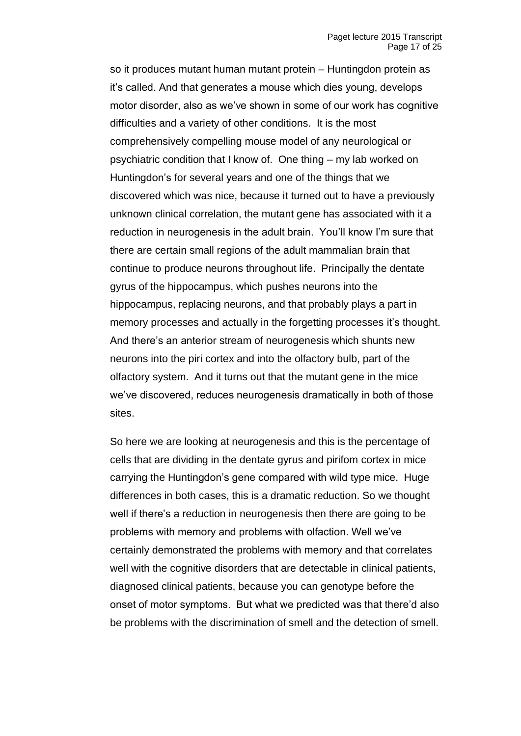so it produces mutant human mutant protein – Huntingdon protein as it's called. And that generates a mouse which dies young, develops motor disorder, also as we've shown in some of our work has cognitive difficulties and a variety of other conditions. It is the most comprehensively compelling mouse model of any neurological or psychiatric condition that I know of. One thing – my lab worked on Huntingdon's for several years and one of the things that we discovered which was nice, because it turned out to have a previously unknown clinical correlation, the mutant gene has associated with it a reduction in neurogenesis in the adult brain. You'll know I'm sure that there are certain small regions of the adult mammalian brain that continue to produce neurons throughout life. Principally the dentate gyrus of the hippocampus, which pushes neurons into the hippocampus, replacing neurons, and that probably plays a part in memory processes and actually in the forgetting processes it's thought. And there's an anterior stream of neurogenesis which shunts new neurons into the piri cortex and into the olfactory bulb, part of the olfactory system. And it turns out that the mutant gene in the mice we've discovered, reduces neurogenesis dramatically in both of those sites.

So here we are looking at neurogenesis and this is the percentage of cells that are dividing in the dentate gyrus and pirifom cortex in mice carrying the Huntingdon's gene compared with wild type mice. Huge differences in both cases, this is a dramatic reduction. So we thought well if there's a reduction in neurogenesis then there are going to be problems with memory and problems with olfaction. Well we've certainly demonstrated the problems with memory and that correlates well with the cognitive disorders that are detectable in clinical patients, diagnosed clinical patients, because you can genotype before the onset of motor symptoms. But what we predicted was that there'd also be problems with the discrimination of smell and the detection of smell.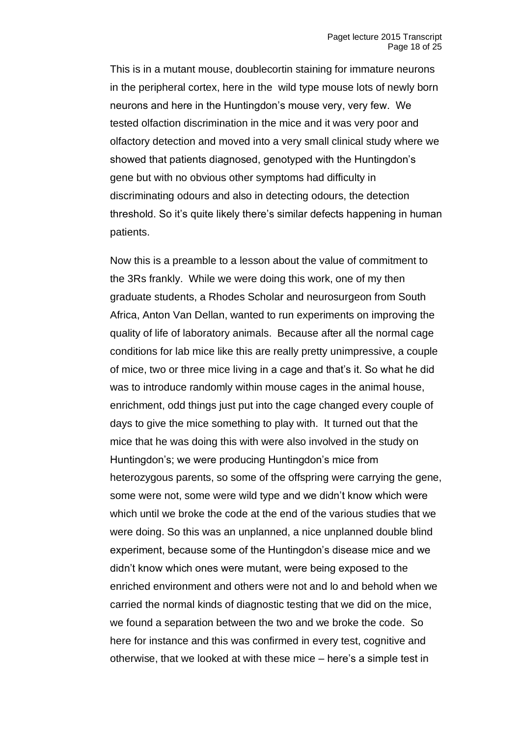This is in a mutant mouse, doublecortin staining for immature neurons in the peripheral cortex, here in the wild type mouse lots of newly born neurons and here in the Huntingdon's mouse very, very few. We tested olfaction discrimination in the mice and it was very poor and olfactory detection and moved into a very small clinical study where we showed that patients diagnosed, genotyped with the Huntingdon's gene but with no obvious other symptoms had difficulty in discriminating odours and also in detecting odours, the detection threshold. So it's quite likely there's similar defects happening in human patients.

Now this is a preamble to a lesson about the value of commitment to the 3Rs frankly. While we were doing this work, one of my then graduate students, a Rhodes Scholar and neurosurgeon from South Africa, Anton Van Dellan, wanted to run experiments on improving the quality of life of laboratory animals. Because after all the normal cage conditions for lab mice like this are really pretty unimpressive, a couple of mice, two or three mice living in a cage and that's it. So what he did was to introduce randomly within mouse cages in the animal house, enrichment, odd things just put into the cage changed every couple of days to give the mice something to play with. It turned out that the mice that he was doing this with were also involved in the study on Huntingdon's; we were producing Huntingdon's mice from heterozygous parents, so some of the offspring were carrying the gene, some were not, some were wild type and we didn't know which were which until we broke the code at the end of the various studies that we were doing. So this was an unplanned, a nice unplanned double blind experiment, because some of the Huntingdon's disease mice and we didn't know which ones were mutant, were being exposed to the enriched environment and others were not and lo and behold when we carried the normal kinds of diagnostic testing that we did on the mice, we found a separation between the two and we broke the code. So here for instance and this was confirmed in every test, cognitive and otherwise, that we looked at with these mice – here's a simple test in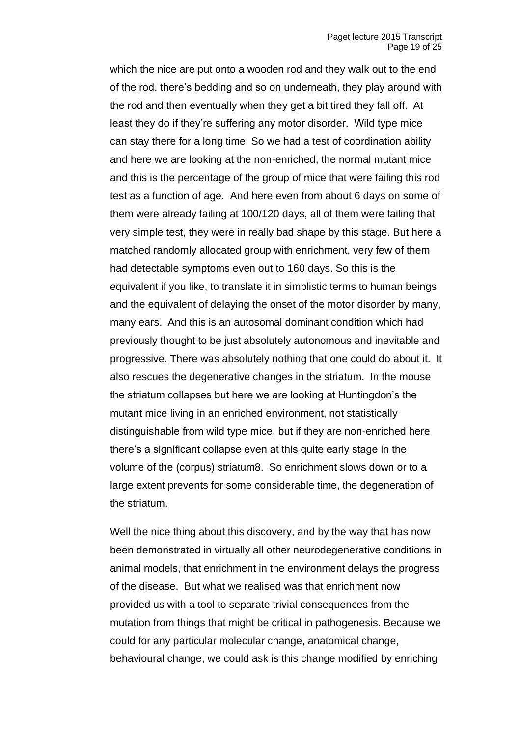which the nice are put onto a wooden rod and they walk out to the end of the rod, there's bedding and so on underneath, they play around with the rod and then eventually when they get a bit tired they fall off. At least they do if they're suffering any motor disorder. Wild type mice can stay there for a long time. So we had a test of coordination ability and here we are looking at the non-enriched, the normal mutant mice and this is the percentage of the group of mice that were failing this rod test as a function of age. And here even from about 6 days on some of them were already failing at 100/120 days, all of them were failing that very simple test, they were in really bad shape by this stage. But here a matched randomly allocated group with enrichment, very few of them had detectable symptoms even out to 160 days. So this is the equivalent if you like, to translate it in simplistic terms to human beings and the equivalent of delaying the onset of the motor disorder by many, many ears. And this is an autosomal dominant condition which had previously thought to be just absolutely autonomous and inevitable and progressive. There was absolutely nothing that one could do about it. It also rescues the degenerative changes in the striatum. In the mouse the striatum collapses but here we are looking at Huntingdon's the mutant mice living in an enriched environment, not statistically distinguishable from wild type mice, but if they are non-enriched here there's a significant collapse even at this quite early stage in the volume of the (corpus) striatum8. So enrichment slows down or to a large extent prevents for some considerable time, the degeneration of the striatum.

Well the nice thing about this discovery, and by the way that has now been demonstrated in virtually all other neurodegenerative conditions in animal models, that enrichment in the environment delays the progress of the disease. But what we realised was that enrichment now provided us with a tool to separate trivial consequences from the mutation from things that might be critical in pathogenesis. Because we could for any particular molecular change, anatomical change, behavioural change, we could ask is this change modified by enriching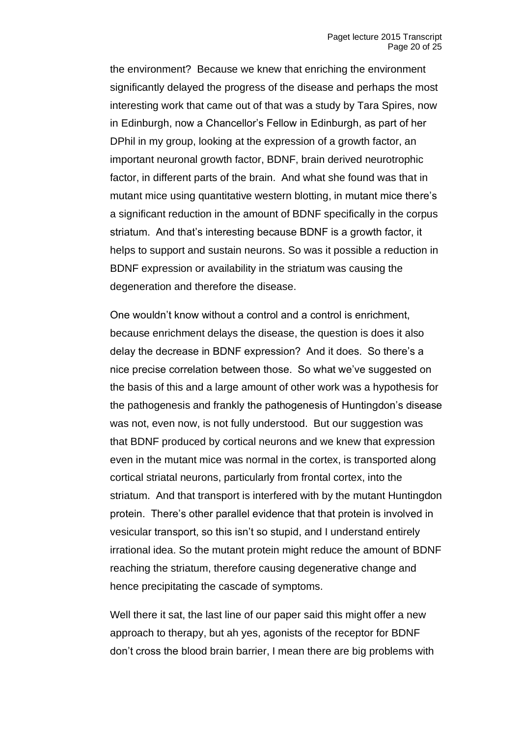the environment? Because we knew that enriching the environment significantly delayed the progress of the disease and perhaps the most interesting work that came out of that was a study by Tara Spires, now in Edinburgh, now a Chancellor's Fellow in Edinburgh, as part of her DPhil in my group, looking at the expression of a growth factor, an important neuronal growth factor, BDNF, brain derived neurotrophic factor, in different parts of the brain. And what she found was that in mutant mice using quantitative western blotting, in mutant mice there's a significant reduction in the amount of BDNF specifically in the corpus striatum. And that's interesting because BDNF is a growth factor, it helps to support and sustain neurons. So was it possible a reduction in BDNF expression or availability in the striatum was causing the degeneration and therefore the disease.

One wouldn't know without a control and a control is enrichment, because enrichment delays the disease, the question is does it also delay the decrease in BDNF expression? And it does. So there's a nice precise correlation between those. So what we've suggested on the basis of this and a large amount of other work was a hypothesis for the pathogenesis and frankly the pathogenesis of Huntingdon's disease was not, even now, is not fully understood. But our suggestion was that BDNF produced by cortical neurons and we knew that expression even in the mutant mice was normal in the cortex, is transported along cortical striatal neurons, particularly from frontal cortex, into the striatum. And that transport is interfered with by the mutant Huntingdon protein. There's other parallel evidence that that protein is involved in vesicular transport, so this isn't so stupid, and I understand entirely irrational idea. So the mutant protein might reduce the amount of BDNF reaching the striatum, therefore causing degenerative change and hence precipitating the cascade of symptoms.

Well there it sat, the last line of our paper said this might offer a new approach to therapy, but ah yes, agonists of the receptor for BDNF don't cross the blood brain barrier, I mean there are big problems with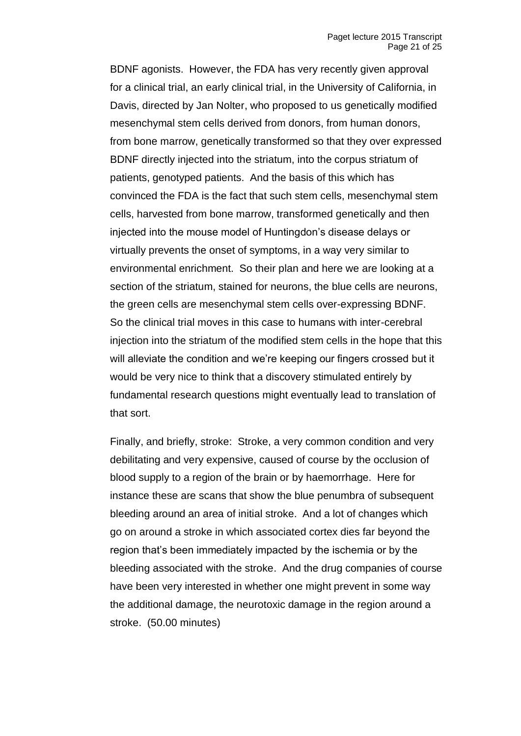BDNF agonists. However, the FDA has very recently given approval for a clinical trial, an early clinical trial, in the University of California, in Davis, directed by Jan Nolter, who proposed to us genetically modified mesenchymal stem cells derived from donors, from human donors, from bone marrow, genetically transformed so that they over expressed BDNF directly injected into the striatum, into the corpus striatum of patients, genotyped patients. And the basis of this which has convinced the FDA is the fact that such stem cells, mesenchymal stem cells, harvested from bone marrow, transformed genetically and then injected into the mouse model of Huntingdon's disease delays or virtually prevents the onset of symptoms, in a way very similar to environmental enrichment. So their plan and here we are looking at a section of the striatum, stained for neurons, the blue cells are neurons, the green cells are mesenchymal stem cells over-expressing BDNF. So the clinical trial moves in this case to humans with inter-cerebral injection into the striatum of the modified stem cells in the hope that this will alleviate the condition and we're keeping our fingers crossed but it would be very nice to think that a discovery stimulated entirely by fundamental research questions might eventually lead to translation of that sort.

Finally, and briefly, stroke: Stroke, a very common condition and very debilitating and very expensive, caused of course by the occlusion of blood supply to a region of the brain or by haemorrhage. Here for instance these are scans that show the blue penumbra of subsequent bleeding around an area of initial stroke. And a lot of changes which go on around a stroke in which associated cortex dies far beyond the region that's been immediately impacted by the ischemia or by the bleeding associated with the stroke. And the drug companies of course have been very interested in whether one might prevent in some way the additional damage, the neurotoxic damage in the region around a stroke. (50.00 minutes)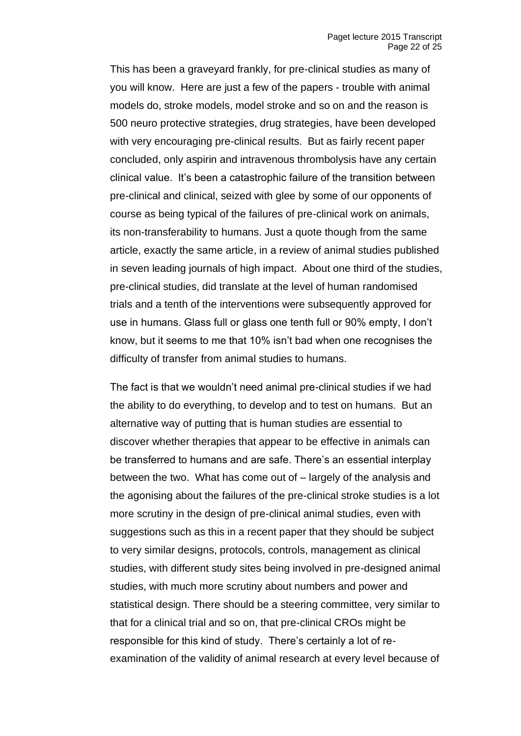This has been a graveyard frankly, for pre-clinical studies as many of you will know. Here are just a few of the papers - trouble with animal models do, stroke models, model stroke and so on and the reason is 500 neuro protective strategies, drug strategies, have been developed with very encouraging pre-clinical results. But as fairly recent paper concluded, only aspirin and intravenous thrombolysis have any certain clinical value. It's been a catastrophic failure of the transition between pre-clinical and clinical, seized with glee by some of our opponents of course as being typical of the failures of pre-clinical work on animals, its non-transferability to humans. Just a quote though from the same article, exactly the same article, in a review of animal studies published in seven leading journals of high impact. About one third of the studies, pre-clinical studies, did translate at the level of human randomised trials and a tenth of the interventions were subsequently approved for use in humans. Glass full or glass one tenth full or 90% empty, I don't know, but it seems to me that 10% isn't bad when one recognises the difficulty of transfer from animal studies to humans.

The fact is that we wouldn't need animal pre-clinical studies if we had the ability to do everything, to develop and to test on humans. But an alternative way of putting that is human studies are essential to discover whether therapies that appear to be effective in animals can be transferred to humans and are safe. There's an essential interplay between the two. What has come out of – largely of the analysis and the agonising about the failures of the pre-clinical stroke studies is a lot more scrutiny in the design of pre-clinical animal studies, even with suggestions such as this in a recent paper that they should be subject to very similar designs, protocols, controls, management as clinical studies, with different study sites being involved in pre-designed animal studies, with much more scrutiny about numbers and power and statistical design. There should be a steering committee, very similar to that for a clinical trial and so on, that pre-clinical CROs might be responsible for this kind of study. There's certainly a lot of reexamination of the validity of animal research at every level because of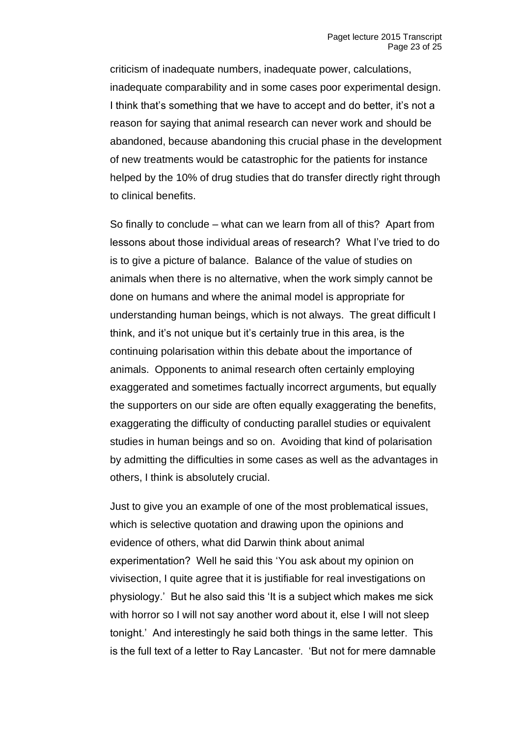criticism of inadequate numbers, inadequate power, calculations, inadequate comparability and in some cases poor experimental design. I think that's something that we have to accept and do better, it's not a reason for saying that animal research can never work and should be abandoned, because abandoning this crucial phase in the development of new treatments would be catastrophic for the patients for instance helped by the 10% of drug studies that do transfer directly right through to clinical benefits.

So finally to conclude – what can we learn from all of this? Apart from lessons about those individual areas of research? What I've tried to do is to give a picture of balance. Balance of the value of studies on animals when there is no alternative, when the work simply cannot be done on humans and where the animal model is appropriate for understanding human beings, which is not always. The great difficult I think, and it's not unique but it's certainly true in this area, is the continuing polarisation within this debate about the importance of animals. Opponents to animal research often certainly employing exaggerated and sometimes factually incorrect arguments, but equally the supporters on our side are often equally exaggerating the benefits, exaggerating the difficulty of conducting parallel studies or equivalent studies in human beings and so on. Avoiding that kind of polarisation by admitting the difficulties in some cases as well as the advantages in others, I think is absolutely crucial.

Just to give you an example of one of the most problematical issues, which is selective quotation and drawing upon the opinions and evidence of others, what did Darwin think about animal experimentation? Well he said this 'You ask about my opinion on vivisection, I quite agree that it is justifiable for real investigations on physiology.' But he also said this 'It is a subject which makes me sick with horror so I will not say another word about it, else I will not sleep tonight.' And interestingly he said both things in the same letter. This is the full text of a letter to Ray Lancaster. 'But not for mere damnable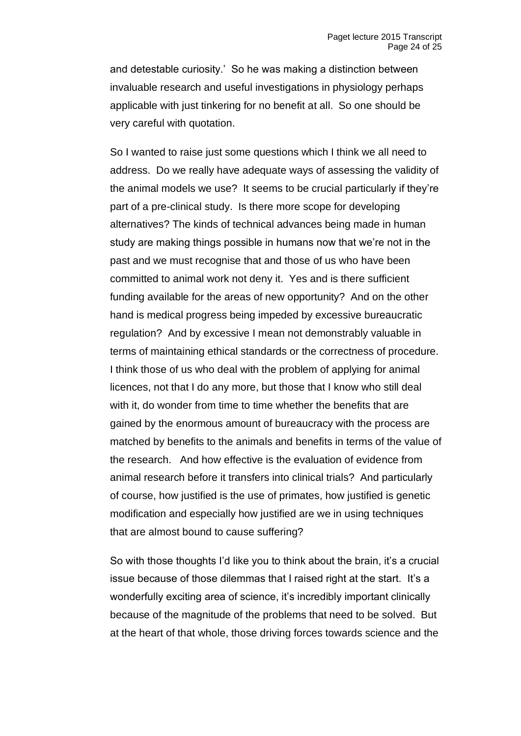and detestable curiosity.' So he was making a distinction between invaluable research and useful investigations in physiology perhaps applicable with just tinkering for no benefit at all. So one should be very careful with quotation.

So I wanted to raise just some questions which I think we all need to address. Do we really have adequate ways of assessing the validity of the animal models we use? It seems to be crucial particularly if they're part of a pre-clinical study. Is there more scope for developing alternatives? The kinds of technical advances being made in human study are making things possible in humans now that we're not in the past and we must recognise that and those of us who have been committed to animal work not deny it. Yes and is there sufficient funding available for the areas of new opportunity? And on the other hand is medical progress being impeded by excessive bureaucratic regulation? And by excessive I mean not demonstrably valuable in terms of maintaining ethical standards or the correctness of procedure. I think those of us who deal with the problem of applying for animal licences, not that I do any more, but those that I know who still deal with it, do wonder from time to time whether the benefits that are gained by the enormous amount of bureaucracy with the process are matched by benefits to the animals and benefits in terms of the value of the research. And how effective is the evaluation of evidence from animal research before it transfers into clinical trials? And particularly of course, how justified is the use of primates, how justified is genetic modification and especially how justified are we in using techniques that are almost bound to cause suffering?

So with those thoughts I'd like you to think about the brain, it's a crucial issue because of those dilemmas that I raised right at the start. It's a wonderfully exciting area of science, it's incredibly important clinically because of the magnitude of the problems that need to be solved. But at the heart of that whole, those driving forces towards science and the